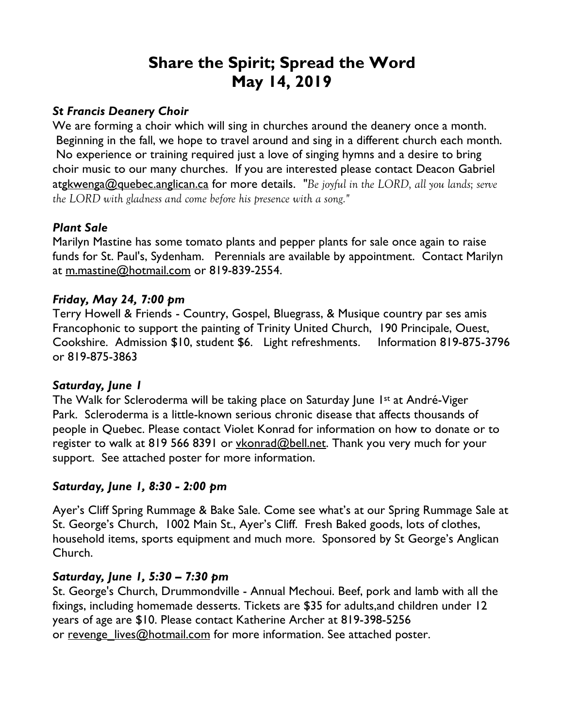# **Share the Spirit; Spread the Word May 14, 2019**

#### *St Francis Deanery Choir*

We are forming a choir which will sing in churches around the deanery once a month. Beginning in the fall, we hope to travel around and sing in a different church each month. No experience or training required just a love of singing hymns and a desire to bring choir music to our many churches. If you are interested please contact Deacon Gabriel atgkwenga@quebec.anglican.ca for more details. *"Be joyful in the LORD, all you lands; serve the LORD with gladness and come before his presence with a song."*

#### *Plant Sale*

Marilyn Mastine has some tomato plants and pepper plants for sale once again to raise funds for St. Paul's, Sydenham. Perennials are available by appointment. Contact Marilyn at m.mastine@hotmail.com or 819-839-2554.

#### *Friday, May 24, 7:00 pm*

Terry Howell & Friends - Country, Gospel, Bluegrass, & Musique country par ses amis Francophonic to support the painting of Trinity United Church, 190 Principale, Ouest, Cookshire. Admission \$10, student \$6. Light refreshments. Information 819-875-3796 or 819-875-3863

#### *Saturday, June 1*

The Walk for Scleroderma will be taking place on Saturday June 1st at André-Viger Park. Scleroderma is a little-known serious chronic disease that affects thousands of people in Quebec. Please contact Violet Konrad for information on how to donate or to register to walk at 819 566 8391 or vkonrad@bell.net. Thank you very much for your support. See attached poster for more information.

#### *Saturday, June 1, 8:30 - 2:00 pm*

Ayer's Cliff Spring Rummage & Bake Sale. Come see what's at our Spring Rummage Sale at St. George's Church, 1002 Main St., Ayer's Cliff. Fresh Baked goods, lots of clothes, household items, sports equipment and much more. Sponsored by St George's Anglican Church.

#### *Saturday, June 1, 5:30 – 7:30 pm*

St. George's Church, Drummondville - Annual Mechoui. Beef, pork and lamb with all the fixings, including homemade desserts. Tickets are \$35 for adults,and children under 12 years of age are \$10. Please contact Katherine Archer at 819-398-5256 or revenge lives@hotmail.com for more information. See attached poster.